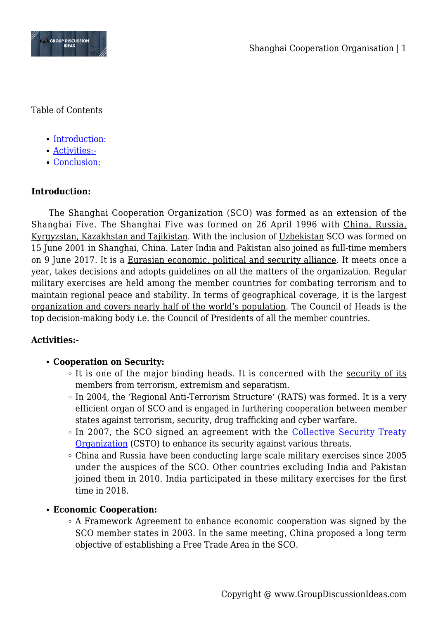

Table of Contents

- [Introduction:](#page--1-0)
- [Activities:-](#page--1-0)
- [Conclusion:](#page--1-0)

# **Introduction:**

The Shanghai Cooperation Organization (SCO) was formed as an extension of the Shanghai Five. The Shanghai Five was formed on 26 April 1996 with China, Russia, Kyrgyzstan, Kazakhstan and Tajikistan. With the inclusion of Uzbekistan SCO was formed on 15 June 2001 in Shanghai, China. Later India and Pakistan also joined as full-time members on 9 June 2017. It is a Eurasian economic, political and security alliance. It meets once a year, takes decisions and adopts guidelines on all the matters of the organization. Regular military exercises are held among the member countries for combating terrorism and to maintain regional peace and stability. In terms of geographical coverage, it is the largest organization and covers nearly half of the world's population. The Council of Heads is the top decision-making body i.e. the Council of Presidents of all the member countries.

### **Activities:-**

# **Cooperation on Security:**

- $\circ$  It is one of the major binding heads. It is concerned with the security of its members from terrorism, extremism and separatism.
- $\circ$  In 2004, the 'Regional Anti-Terrorism Structure' (RATS) was formed. It is a very efficient organ of SCO and is engaged in furthering cooperation between member states against terrorism, security, drug trafficking and cyber warfare.
- In 2007, the SCO signed an agreement with the [Collective Security Treaty](https://en.wikipedia.org/wiki/Collective_Security_Treaty_Organization) [Organization](https://en.wikipedia.org/wiki/Collective_Security_Treaty_Organization) (CSTO) to enhance its security against various threats.
- China and Russia have been conducting large scale military exercises since 2005 under the auspices of the SCO. Other countries excluding India and Pakistan joined them in 2010. India participated in these military exercises for the first time in 2018.

### **Economic Cooperation:**

 $\circ$  A Framework Agreement to enhance economic cooperation was signed by the SCO member states in 2003. In the same meeting, China proposed a long term objective of establishing a Free Trade Area in the SCO.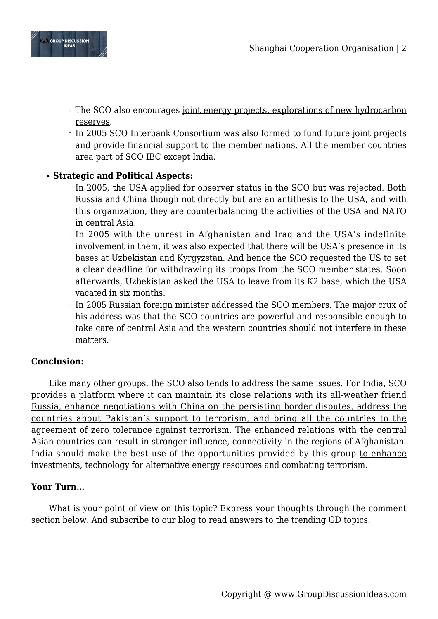

- The SCO also encourages joint energy projects, explorations of new hydrocarbon reserves.
- In 2005 SCO Interbank Consortium was also formed to fund future joint projects and provide financial support to the member nations. All the member countries area part of SCO IBC except India.

# **Strategic and Political Aspects:**

- $\circ$  In 2005, the USA applied for observer status in the SCO but was rejected. Both Russia and China though not directly but are an antithesis to the USA, and with this organization, they are counterbalancing the activities of the USA and NATO in central Asia.
- $\circ$  In 2005 with the unrest in Afghanistan and Iraq and the USA's indefinite involvement in them, it was also expected that there will be USA's presence in its bases at Uzbekistan and Kyrgyzstan. And hence the SCO requested the US to set a clear deadline for withdrawing its troops from the SCO member states. Soon afterwards, Uzbekistan asked the USA to leave from its K2 base, which the USA vacated in six months.
- In 2005 Russian foreign minister addressed the SCO members. The major crux of his address was that the SCO countries are powerful and responsible enough to take care of central Asia and the western countries should not interfere in these matters.

### **Conclusion:**

Like many other groups, the SCO also tends to address the same issues. For India, SCO provides a platform where it can maintain its close relations with its all-weather friend Russia, enhance negotiations with China on the persisting border disputes, address the countries about Pakistan's support to terrorism, and bring all the countries to the agreement of zero tolerance against terrorism. The enhanced relations with the central Asian countries can result in stronger influence, connectivity in the regions of Afghanistan. India should make the best use of the opportunities provided by this group to enhance investments, technology for alternative energy resources and combating terrorism.

### **Your Turn…**

What is your point of view on this topic? Express your thoughts through the comment section below. And subscribe to our blog to read answers to the trending GD topics.